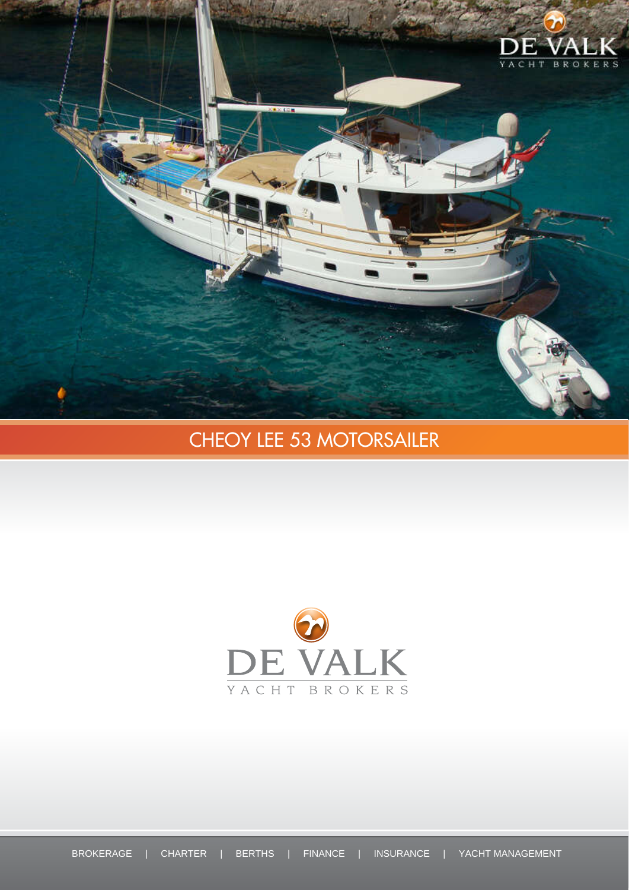

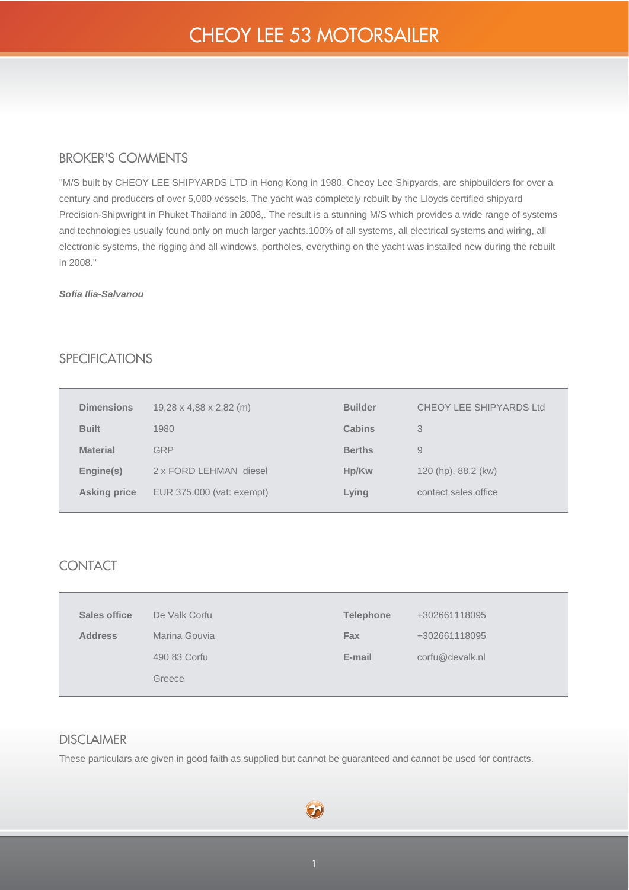#### **BROKER'S COMMENTS**

''M/S built by CHEOY LEE SHIPYARDS LTD in Hong Kong in 1980. Cheoy Lee Shipyards, are shipbuilders for over a century and producers of over 5,000 vessels. The yacht was completely rebuilt by the Lloyds certified shipyard Precision-Shipwright in Phuket Thailand in 2008,. The result is a stunning M/S which provides a wide range of systems and technologies usually found only on much larger yachts.100% of all systems, all electrical systems and wiring, all electronic systems, the rigging and all windows, portholes, everything on the yacht was installed new during the rebuilt in 2008.''

**Sofia Ilia-Salvanou**

#### **SPECIFICATIONS**

| <b>Dimensions</b>   | $19,28 \times 4,88 \times 2,82$ (m) | <b>Builder</b> | CHEOY LEE SHIPYARDS Ltd |
|---------------------|-------------------------------------|----------------|-------------------------|
| <b>Built</b>        | 1980                                | Cabins         | 3                       |
| <b>Material</b>     | GRP                                 | <b>Berths</b>  | 9                       |
| Engine(s)           | 2 x FORD LEHMAN diesel              | Hp/Kw          | 120 (hp), 88,2 (kw)     |
| <b>Asking price</b> | EUR 375,000 (vat: exempt)           | Lying          | contact sales office    |
|                     |                                     |                |                         |

#### **CONTACT**

| Sales office   | De Valk Corfu | <b>Telephone</b> | +302661118095   |
|----------------|---------------|------------------|-----------------|
| <b>Address</b> | Marina Gouvia | <b>Fax</b>       | +302661118095   |
|                | 490 83 Corfu  | E-mail           | corfu@devalk.nl |
|                | Greece        |                  |                 |
|                |               |                  |                 |

#### **DISCLAIMER**

These particulars are given in good faith as supplied but cannot be guaranteed and cannot be used for contracts.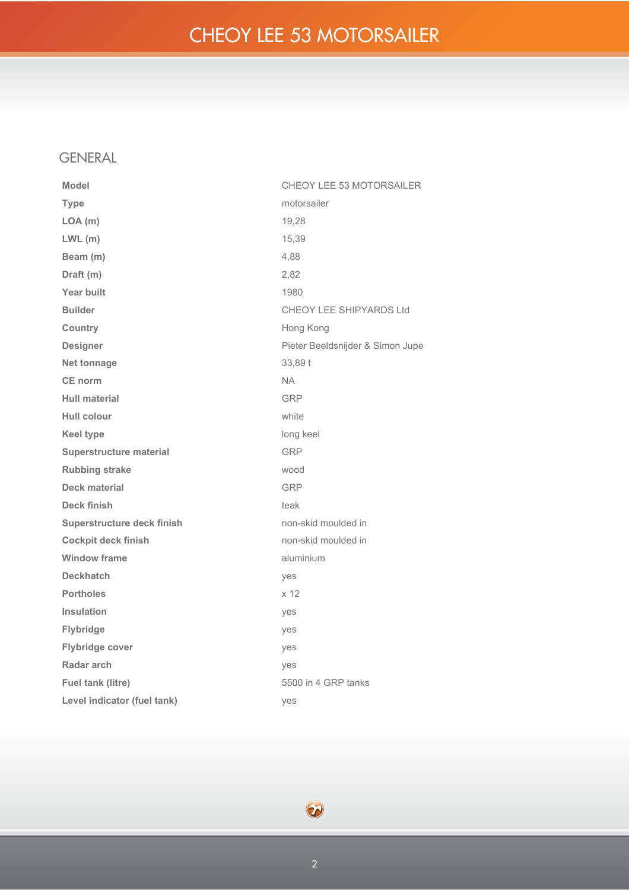#### **GENERAL**

| <b>Model</b>                   | CHEOY LEE 53 MOTORSAILER         |
|--------------------------------|----------------------------------|
| <b>Type</b>                    | motorsailer                      |
| LOA(m)                         | 19,28                            |
| $LWL$ (m)                      | 15,39                            |
| Beam (m)                       | 4,88                             |
| Draft (m)                      | 2,82                             |
| Year built                     | 1980                             |
| <b>Builder</b>                 | CHEOY LEE SHIPYARDS Ltd          |
| Country                        | Hong Kong                        |
| <b>Designer</b>                | Pieter Beeldsnijder & Simon Jupe |
| Net tonnage                    | 33,89 t                          |
| <b>CE</b> norm                 | <b>NA</b>                        |
| <b>Hull material</b>           | <b>GRP</b>                       |
| <b>Hull colour</b>             | white                            |
| <b>Keel type</b>               | long keel                        |
| <b>Superstructure material</b> | <b>GRP</b>                       |
| <b>Rubbing strake</b>          | wood                             |
| <b>Deck material</b>           | <b>GRP</b>                       |
| Deck finish                    | teak                             |
| Superstructure deck finish     | non-skid moulded in              |
| <b>Cockpit deck finish</b>     | non-skid moulded in              |
| <b>Window frame</b>            | aluminium                        |
| <b>Deckhatch</b>               | yes                              |
| <b>Portholes</b>               | x <sub>12</sub>                  |
| Insulation                     | yes                              |
| Flybridge                      | yes                              |
| Flybridge cover                | yes                              |
| Radar arch                     | yes                              |
| Fuel tank (litre)              | 5500 in 4 GRP tanks              |
| Level indicator (fuel tank)    | yes                              |
|                                |                                  |

 $\bigcirc$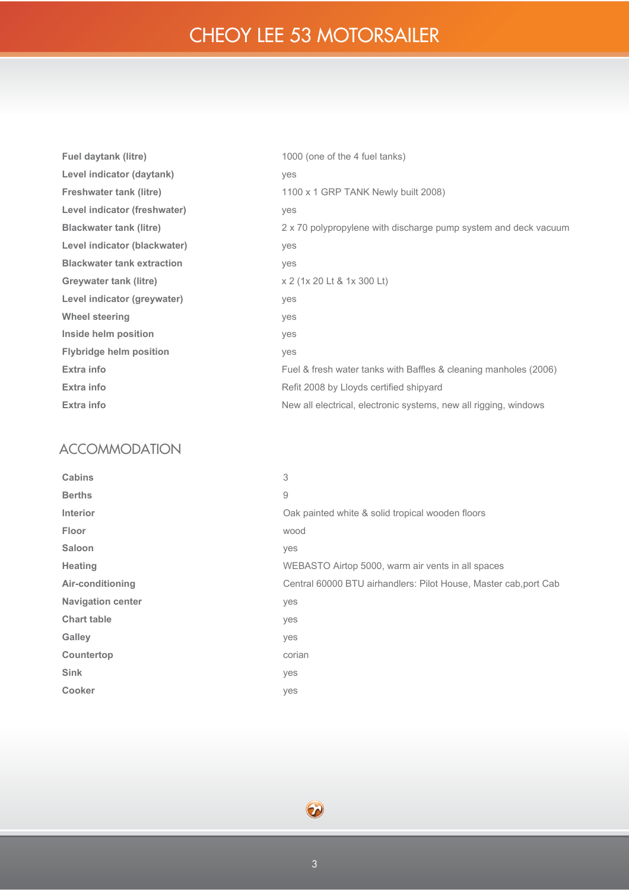| Fuel daytank (litre)              | 1000 (one of the 4 fuel tanks)                                   |
|-----------------------------------|------------------------------------------------------------------|
| Level indicator (daytank)         | yes                                                              |
| <b>Freshwater tank (litre)</b>    | 1100 x 1 GRP TANK Newly built 2008)                              |
| Level indicator (freshwater)      | yes                                                              |
| <b>Blackwater tank (litre)</b>    | 2 x 70 polypropylene with discharge pump system and deck vacuum  |
| Level indicator (blackwater)      | yes                                                              |
| <b>Blackwater tank extraction</b> | yes                                                              |
| <b>Greywater tank (litre)</b>     | x 2 (1x 20 Lt & 1x 300 Lt)                                       |
| Level indicator (greywater)       | yes                                                              |
| <b>Wheel steering</b>             | yes                                                              |
| Inside helm position              | yes                                                              |
| <b>Flybridge helm position</b>    | yes                                                              |
| Extra info                        | Fuel & fresh water tanks with Baffles & cleaning manholes (2006) |
| Extra info                        | Refit 2008 by Lloyds certified shipyard                          |
| Extra info                        | New all electrical, electronic systems, new all rigging, windows |

### **ACCOMMODATION**

| <b>Cabins</b>            | 3                                                                |
|--------------------------|------------------------------------------------------------------|
| <b>Berths</b>            | 9                                                                |
| <b>Interior</b>          | Oak painted white & solid tropical wooden floors                 |
| Floor                    | wood                                                             |
| Saloon                   | yes                                                              |
| <b>Heating</b>           | WEBASTO Airtop 5000, warm air vents in all spaces                |
| Air-conditioning         | Central 60000 BTU airhandlers: Pilot House, Master cab, port Cab |
| <b>Navigation center</b> | yes                                                              |
| <b>Chart table</b>       | yes                                                              |
| <b>Galley</b>            | yes                                                              |
| Countertop               | corian                                                           |
| <b>Sink</b>              | yes                                                              |
| Cooker                   | yes                                                              |

 $\odot$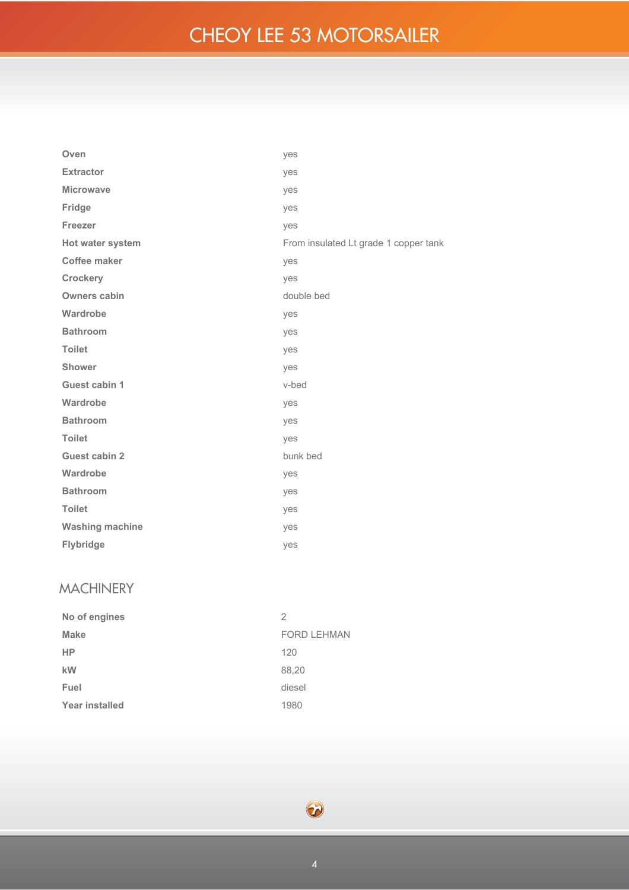| Oven                    | yes                                   |
|-------------------------|---------------------------------------|
| <b>Extractor</b>        | yes                                   |
| <b>Microwave</b>        | yes                                   |
| <b>Fridge</b>           | yes                                   |
| Freezer                 | yes                                   |
| <b>Hot water system</b> | From insulated Lt grade 1 copper tank |
| <b>Coffee maker</b>     | yes                                   |
| <b>Crockery</b>         | yes                                   |
| <b>Owners cabin</b>     | double bed                            |
| Wardrobe                | yes                                   |
| <b>Bathroom</b>         | yes                                   |
| <b>Toilet</b>           | yes                                   |
| <b>Shower</b>           | yes                                   |
| Guest cabin 1           | v-bed                                 |
| Wardrobe                | yes                                   |
| <b>Bathroom</b>         | yes                                   |
| <b>Toilet</b>           | yes                                   |
| <b>Guest cabin 2</b>    | bunk bed                              |
| Wardrobe                | yes                                   |
| <b>Bathroom</b>         | yes                                   |
| <b>Toilet</b>           | yes                                   |
| <b>Washing machine</b>  | yes                                   |
| Flybridge               | yes                                   |

### **MACHINERY**

| No of engines         | 2                  |
|-----------------------|--------------------|
| <b>Make</b>           | <b>FORD LEHMAN</b> |
| <b>HP</b>             | 120                |
| kW                    | 88,20              |
| Fuel                  | diesel             |
| <b>Year installed</b> | 1980               |

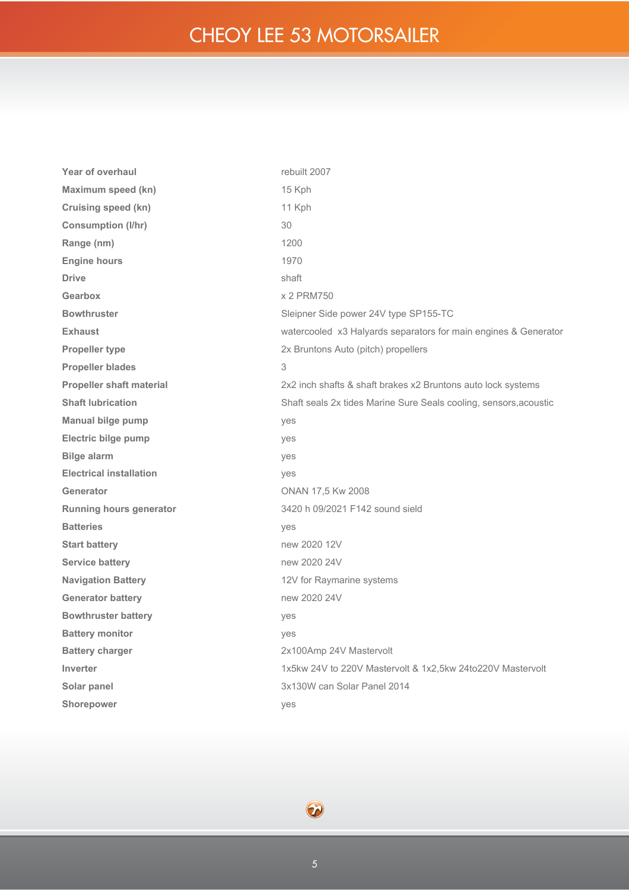| <b>Year of overhaul</b>         | rebuilt 2007                                                      |
|---------------------------------|-------------------------------------------------------------------|
| Maximum speed (kn)              | 15 Kph                                                            |
| <b>Cruising speed (kn)</b>      | 11 Kph                                                            |
| <b>Consumption (I/hr)</b>       | 30                                                                |
| Range (nm)                      | 1200                                                              |
| <b>Engine hours</b>             | 1970                                                              |
| <b>Drive</b>                    | shaft                                                             |
| Gearbox                         | x 2 PRM750                                                        |
| <b>Bowthruster</b>              | Sleipner Side power 24V type SP155-TC                             |
| <b>Exhaust</b>                  | watercooled x3 Halyards separators for main engines & Generator   |
| <b>Propeller type</b>           | 2x Bruntons Auto (pitch) propellers                               |
| <b>Propeller blades</b>         | 3                                                                 |
| <b>Propeller shaft material</b> | 2x2 inch shafts & shaft brakes x2 Bruntons auto lock systems      |
| <b>Shaft lubrication</b>        | Shaft seals 2x tides Marine Sure Seals cooling, sensors, acoustic |
| <b>Manual bilge pump</b>        | yes                                                               |
| <b>Electric bilge pump</b>      | yes                                                               |
| <b>Bilge alarm</b>              | yes                                                               |
| <b>Electrical installation</b>  | yes                                                               |
| Generator                       | ONAN 17,5 Kw 2008                                                 |
| Running hours generator         | 3420 h 09/2021 F142 sound sield                                   |
| <b>Batteries</b>                | yes                                                               |
| <b>Start battery</b>            | new 2020 12V                                                      |
| <b>Service battery</b>          | new 2020 24V                                                      |
| <b>Navigation Battery</b>       | 12V for Raymarine systems                                         |
| <b>Generator battery</b>        | new 2020 24V                                                      |
| <b>Bowthruster battery</b>      | yes                                                               |
| <b>Battery monitor</b>          | yes                                                               |
| <b>Battery charger</b>          | 2x100Amp 24V Mastervolt                                           |
| Inverter                        | 1x5kw 24V to 220V Mastervolt & 1x2,5kw 24to220V Mastervolt        |
| Solar panel                     | 3x130W can Solar Panel 2014                                       |
| <b>Shorepower</b>               | yes                                                               |

 $\bullet$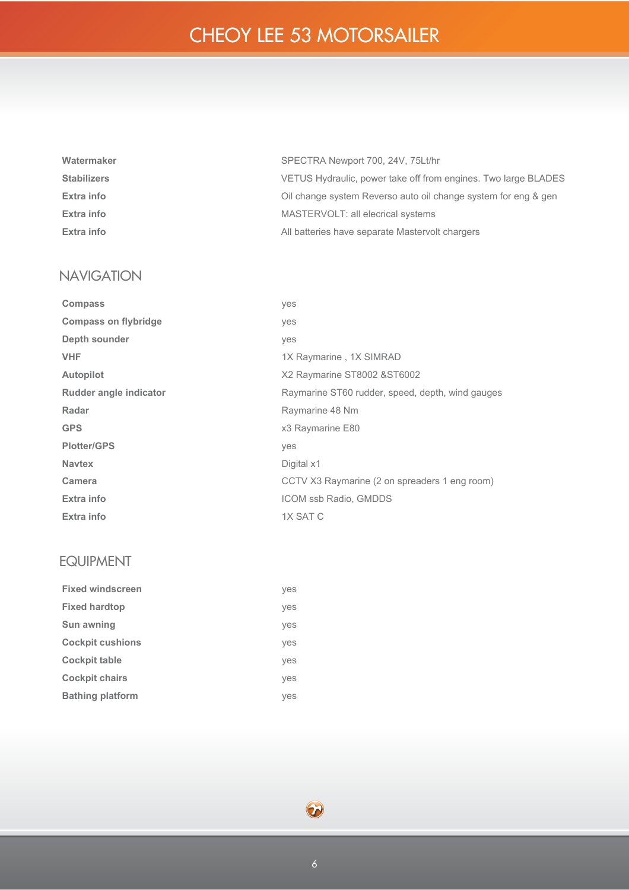| Watermaker         | SPECTRA Newport 700, 24V, 75Lt/hr                              |
|--------------------|----------------------------------------------------------------|
| <b>Stabilizers</b> | VETUS Hydraulic, power take off from engines. Two large BLADES |
| Extra info         | Oil change system Reverso auto oil change system for eng & gen |
| Extra info         | MASTERVOLT: all elecrical systems                              |
| Extra info         | All batteries have separate Mastervolt chargers                |

### **NAVIGATION**

| <b>Compass</b>              | yes                                              |
|-----------------------------|--------------------------------------------------|
| <b>Compass on flybridge</b> | yes                                              |
| Depth sounder               | yes                                              |
| <b>VHF</b>                  | 1X Raymarine, 1X SIMRAD                          |
| <b>Autopilot</b>            | X2 Raymarine ST8002 & ST6002                     |
| Rudder angle indicator      | Raymarine ST60 rudder, speed, depth, wind gauges |
| Radar                       | Raymarine 48 Nm                                  |
| <b>GPS</b>                  | x3 Raymarine E80                                 |
| <b>Plotter/GPS</b>          | yes                                              |
| <b>Navtex</b>               | Digital x1                                       |
| Camera                      | CCTV X3 Raymarine (2 on spreaders 1 eng room)    |
| Extra info                  | <b>ICOM ssb Radio, GMDDS</b>                     |
| Extra info                  | 1X SAT C                                         |

### **EQUIPMENT**

| <b>Fixed windscreen</b> | yes |
|-------------------------|-----|
| <b>Fixed hardtop</b>    | yes |
| Sun awning              | yes |
| <b>Cockpit cushions</b> | yes |
| <b>Cockpit table</b>    | yes |
| <b>Cockpit chairs</b>   | yes |
| <b>Bathing platform</b> | ves |

 $\odot$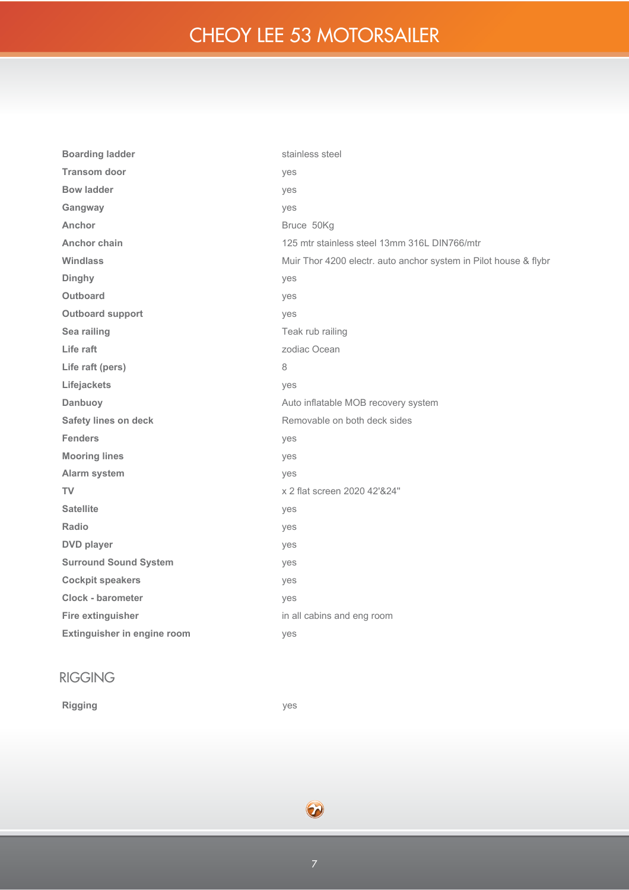| <b>Boarding ladder</b>             | stainless steel                                                  |
|------------------------------------|------------------------------------------------------------------|
| <b>Transom door</b>                | yes                                                              |
| <b>Bow ladder</b>                  | yes                                                              |
| Gangway                            | yes                                                              |
| Anchor                             | Bruce 50Kg                                                       |
| Anchor chain                       | 125 mtr stainless steel 13mm 316L DIN766/mtr                     |
| <b>Windlass</b>                    | Muir Thor 4200 electr. auto anchor system in Pilot house & flybr |
| <b>Dinghy</b>                      | yes                                                              |
| Outboard                           | yes                                                              |
| <b>Outboard support</b>            | yes                                                              |
| Sea railing                        | Teak rub railing                                                 |
| Life raft                          | zodiac Ocean                                                     |
| Life raft (pers)                   | 8                                                                |
| Lifejackets                        | yes                                                              |
| <b>Danbuoy</b>                     | Auto inflatable MOB recovery system                              |
| <b>Safety lines on deck</b>        | Removable on both deck sides                                     |
| <b>Fenders</b>                     | yes                                                              |
| <b>Mooring lines</b>               | yes                                                              |
| Alarm system                       | yes                                                              |
| TV                                 | x 2 flat screen 2020 42'&24"                                     |
| <b>Satellite</b>                   | yes                                                              |
| Radio                              | yes                                                              |
| <b>DVD</b> player                  | yes                                                              |
| <b>Surround Sound System</b>       | yes                                                              |
| <b>Cockpit speakers</b>            | yes                                                              |
| <b>Clock - barometer</b>           | yes                                                              |
| <b>Fire extinguisher</b>           | in all cabins and eng room                                       |
| <b>Extinguisher in engine room</b> | ves                                                              |

### **RIGGING**

**Rigging yes**

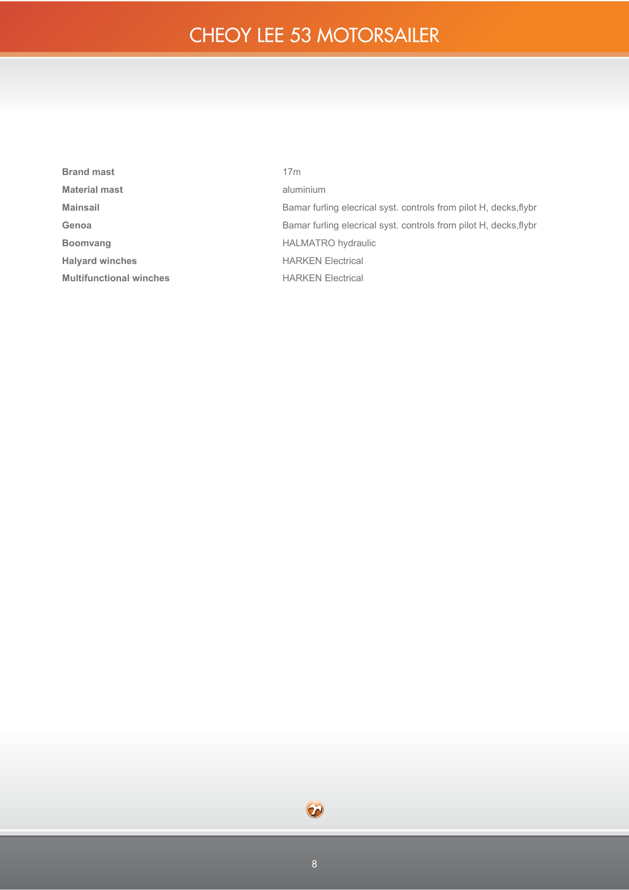**Brand mast 17m Material mast aluminium Boomvang HALMATRO hydraulic Halyard winches HARKEN Electrical Multifunctional winches HARKEN Electrical**

**Mainsail Bamar furling elecrical syst. controls from pilot H, decks,flybr Genoa Bamar furling elecrical syst. controls from pilot H, decks,flybr**

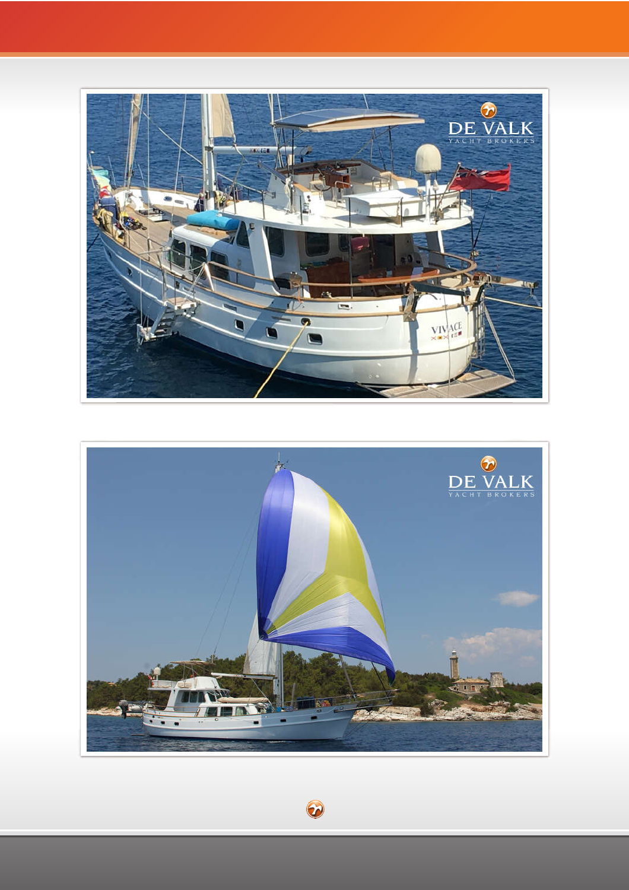# $8 + (2 < 7)(1 - 027256\$



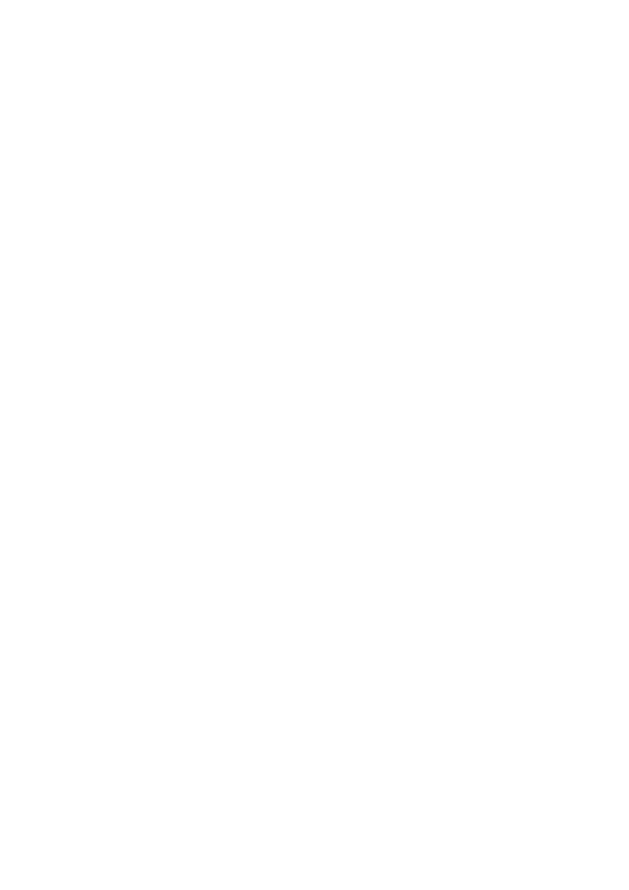| ---- |  |
|------|--|
|      |  |
|      |  |
|      |  |
|      |  |
|      |  |
|      |  |
|      |  |
|      |  |
|      |  |
|      |  |
|      |  |
|      |  |
|      |  |
|      |  |
|      |  |
|      |  |
|      |  |
|      |  |
|      |  |
|      |  |
|      |  |
|      |  |
|      |  |
|      |  |
|      |  |
|      |  |
|      |  |
|      |  |
|      |  |
|      |  |
|      |  |
|      |  |
|      |  |
|      |  |
|      |  |
|      |  |
|      |  |
|      |  |
|      |  |
|      |  |
|      |  |
|      |  |
|      |  |
|      |  |
|      |  |
|      |  |
|      |  |
|      |  |
|      |  |
|      |  |
|      |  |
|      |  |
|      |  |
|      |  |
|      |  |
|      |  |
|      |  |
|      |  |

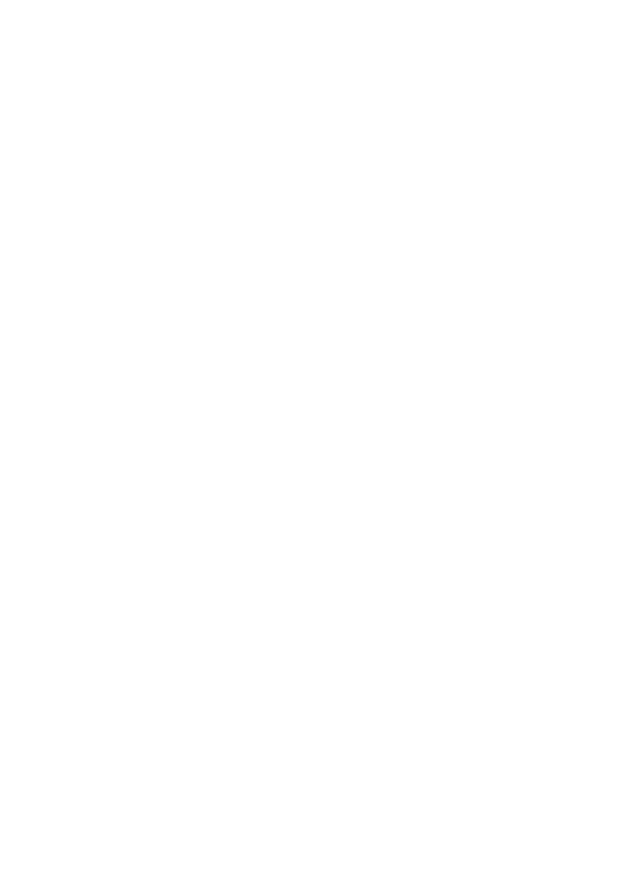| ---- |  |
|------|--|
|      |  |
|      |  |
|      |  |
|      |  |
|      |  |
|      |  |
|      |  |
|      |  |
|      |  |
|      |  |
|      |  |
|      |  |
|      |  |
|      |  |
|      |  |
|      |  |
|      |  |
|      |  |
|      |  |
|      |  |
|      |  |
|      |  |
|      |  |
|      |  |
|      |  |
|      |  |
|      |  |
|      |  |
|      |  |
|      |  |
|      |  |
|      |  |
|      |  |
|      |  |
|      |  |
|      |  |
|      |  |
|      |  |
|      |  |
|      |  |
|      |  |
|      |  |
|      |  |
|      |  |
|      |  |
|      |  |
|      |  |
|      |  |
|      |  |
|      |  |
|      |  |
|      |  |
|      |  |
|      |  |
|      |  |
|      |  |
|      |  |
|      |  |

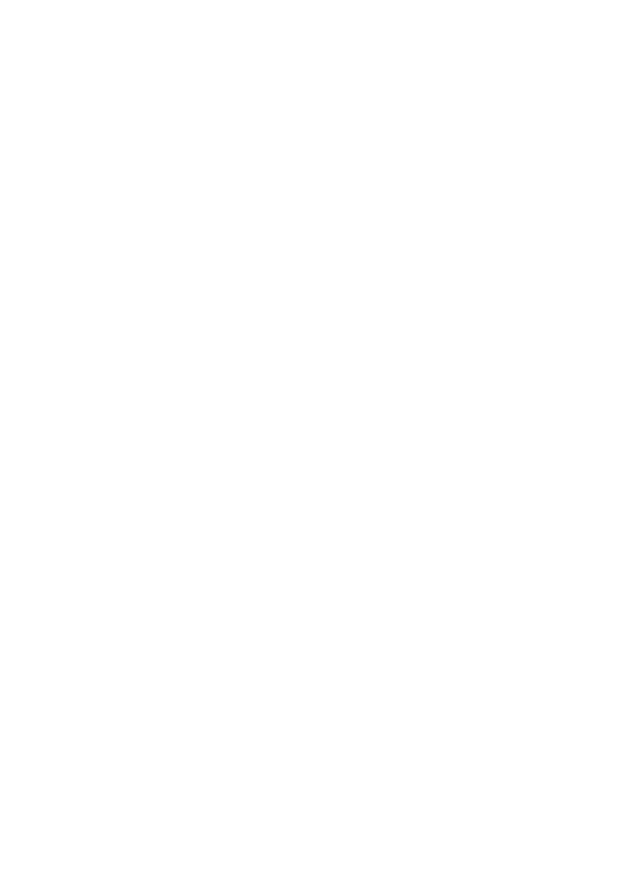| ---- |  |
|------|--|
|      |  |
|      |  |
|      |  |
|      |  |
|      |  |
|      |  |
|      |  |
|      |  |
|      |  |
|      |  |
|      |  |
|      |  |
|      |  |
|      |  |
|      |  |
|      |  |
|      |  |
|      |  |
|      |  |
|      |  |
|      |  |
|      |  |
|      |  |
|      |  |
|      |  |
|      |  |
|      |  |
|      |  |
|      |  |
|      |  |
|      |  |
|      |  |
|      |  |
|      |  |
|      |  |
|      |  |
|      |  |
|      |  |
|      |  |
|      |  |
|      |  |
|      |  |
|      |  |
|      |  |
|      |  |
|      |  |
|      |  |
|      |  |
|      |  |
|      |  |
|      |  |
|      |  |
|      |  |
|      |  |
|      |  |
|      |  |
|      |  |
|      |  |

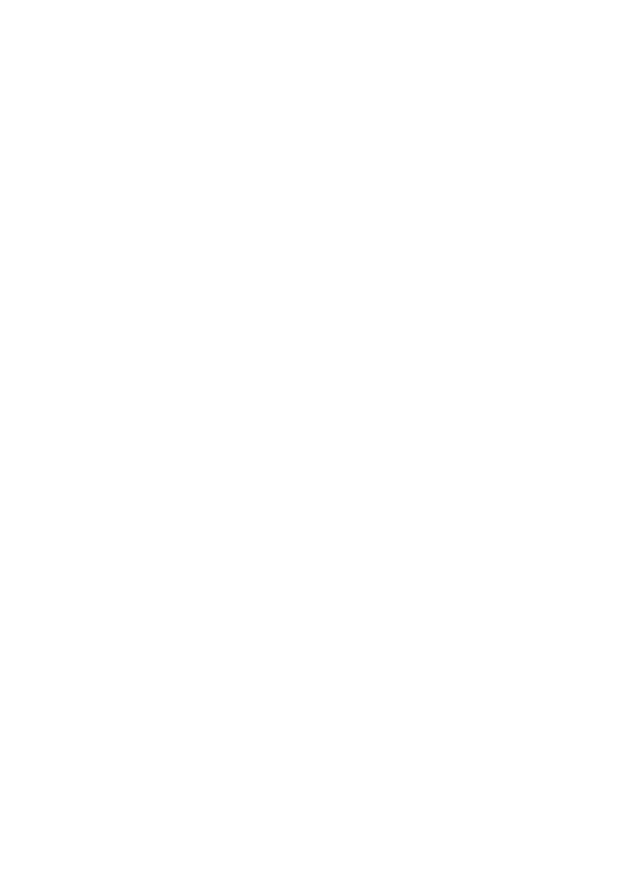| ---- |  |
|------|--|
|      |  |
|      |  |
|      |  |
|      |  |
|      |  |
|      |  |
|      |  |
|      |  |
|      |  |
|      |  |
|      |  |
|      |  |
|      |  |
|      |  |
|      |  |
|      |  |
|      |  |
|      |  |
|      |  |
|      |  |
|      |  |
|      |  |
|      |  |
|      |  |
|      |  |
|      |  |
|      |  |
|      |  |
|      |  |
|      |  |
|      |  |
|      |  |
|      |  |
|      |  |
|      |  |
|      |  |
|      |  |
|      |  |
|      |  |
|      |  |
|      |  |
|      |  |
|      |  |
|      |  |
|      |  |
|      |  |
|      |  |
|      |  |
|      |  |
|      |  |
|      |  |
|      |  |
|      |  |
|      |  |
|      |  |
|      |  |
|      |  |
|      |  |

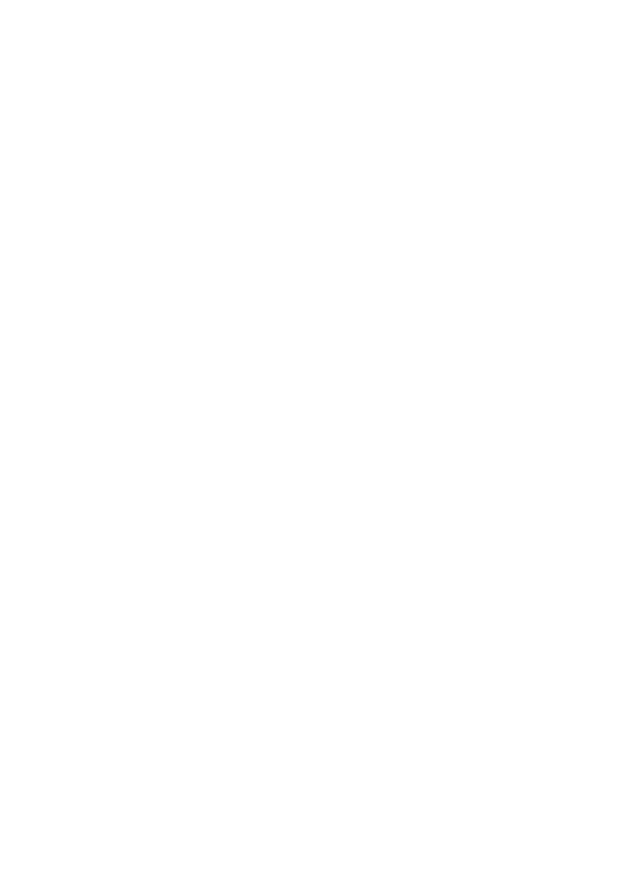| ---- |  |
|------|--|
|      |  |
|      |  |
|      |  |
|      |  |
|      |  |
|      |  |
|      |  |
|      |  |
|      |  |
|      |  |
|      |  |
|      |  |
|      |  |
|      |  |
|      |  |
|      |  |
|      |  |
|      |  |
|      |  |
|      |  |
|      |  |
|      |  |
|      |  |
|      |  |
|      |  |
|      |  |
|      |  |
|      |  |
|      |  |
|      |  |
|      |  |
|      |  |
|      |  |
|      |  |
|      |  |
|      |  |
|      |  |
|      |  |
|      |  |
|      |  |
|      |  |
|      |  |
|      |  |
|      |  |
|      |  |
|      |  |
|      |  |
|      |  |
|      |  |
|      |  |
|      |  |
|      |  |
|      |  |
|      |  |
|      |  |
|      |  |
|      |  |
|      |  |

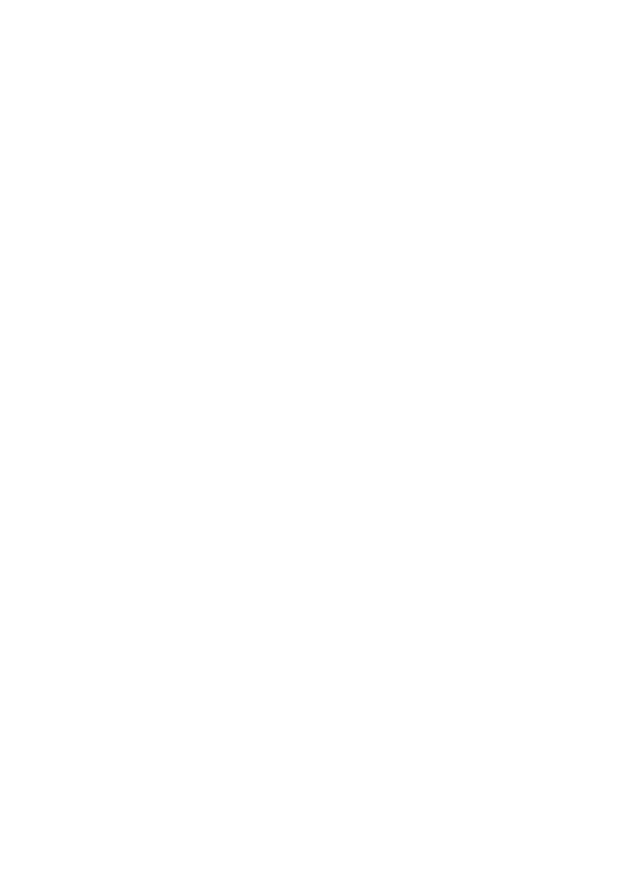| ---- |  |
|------|--|
|      |  |
|      |  |
|      |  |
|      |  |
|      |  |
|      |  |
|      |  |
|      |  |
|      |  |
|      |  |
|      |  |
|      |  |
|      |  |
|      |  |
|      |  |
|      |  |
|      |  |
|      |  |
|      |  |
|      |  |
|      |  |
|      |  |
|      |  |
|      |  |
|      |  |
|      |  |
|      |  |
|      |  |
|      |  |
|      |  |
|      |  |
|      |  |
|      |  |
|      |  |
|      |  |
|      |  |
|      |  |
|      |  |
|      |  |
|      |  |
|      |  |
|      |  |
|      |  |
|      |  |
|      |  |
|      |  |
|      |  |
|      |  |
|      |  |
|      |  |
|      |  |
|      |  |
|      |  |
|      |  |
|      |  |
|      |  |
|      |  |
|      |  |

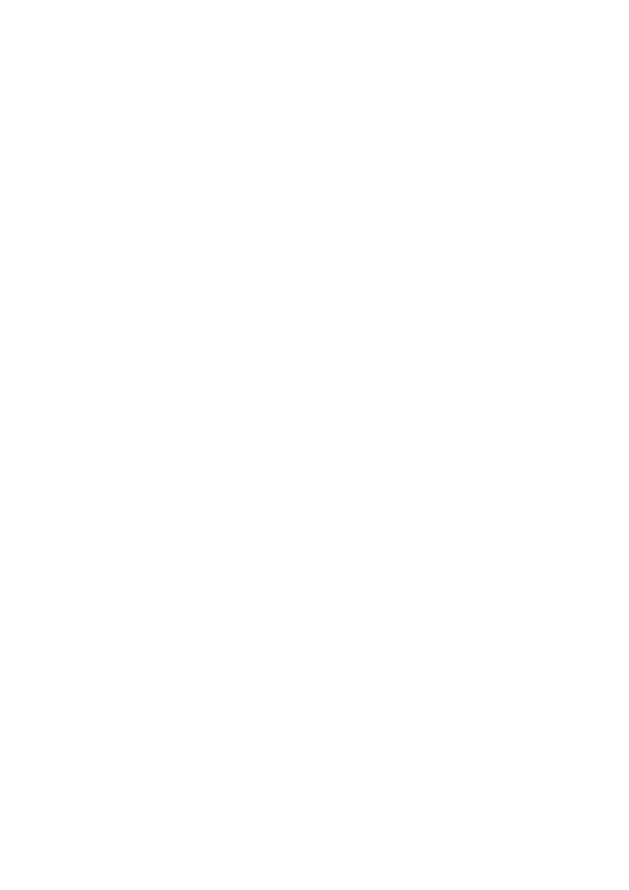| ---- |  |
|------|--|
|      |  |
|      |  |
|      |  |
|      |  |
|      |  |
|      |  |
|      |  |
|      |  |
|      |  |
|      |  |
|      |  |
|      |  |
|      |  |
|      |  |
|      |  |
|      |  |
|      |  |
|      |  |
|      |  |
|      |  |
|      |  |
|      |  |
|      |  |
|      |  |
|      |  |
|      |  |
|      |  |
|      |  |
|      |  |
|      |  |
|      |  |
|      |  |
|      |  |
|      |  |
|      |  |
|      |  |
|      |  |
|      |  |
|      |  |
|      |  |
|      |  |
|      |  |
|      |  |
|      |  |
|      |  |
|      |  |
|      |  |
|      |  |
|      |  |
|      |  |
|      |  |
|      |  |
|      |  |
|      |  |
|      |  |
|      |  |
|      |  |
|      |  |

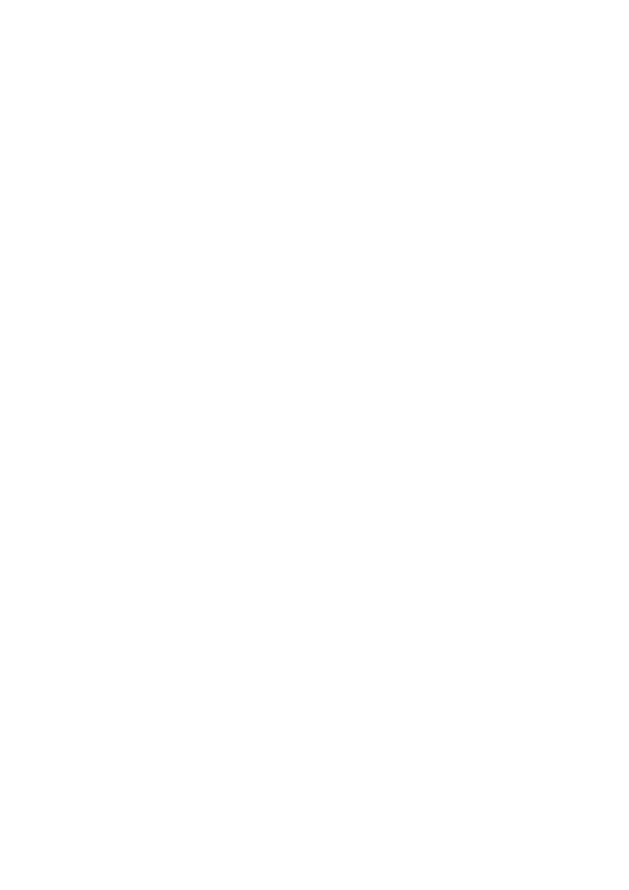| ---- |  |
|------|--|
|      |  |
|      |  |
|      |  |
|      |  |
|      |  |
|      |  |
|      |  |
|      |  |
|      |  |
|      |  |
|      |  |
|      |  |
|      |  |
|      |  |
|      |  |
|      |  |
|      |  |
|      |  |
|      |  |
|      |  |
|      |  |
|      |  |
|      |  |
|      |  |
|      |  |
|      |  |
|      |  |
|      |  |
|      |  |
|      |  |
|      |  |
|      |  |
|      |  |
|      |  |
|      |  |
|      |  |
|      |  |
|      |  |
|      |  |
|      |  |
|      |  |
|      |  |
|      |  |
|      |  |
|      |  |
|      |  |
|      |  |
|      |  |
|      |  |
|      |  |
|      |  |
|      |  |
|      |  |
|      |  |
|      |  |
|      |  |
|      |  |
|      |  |

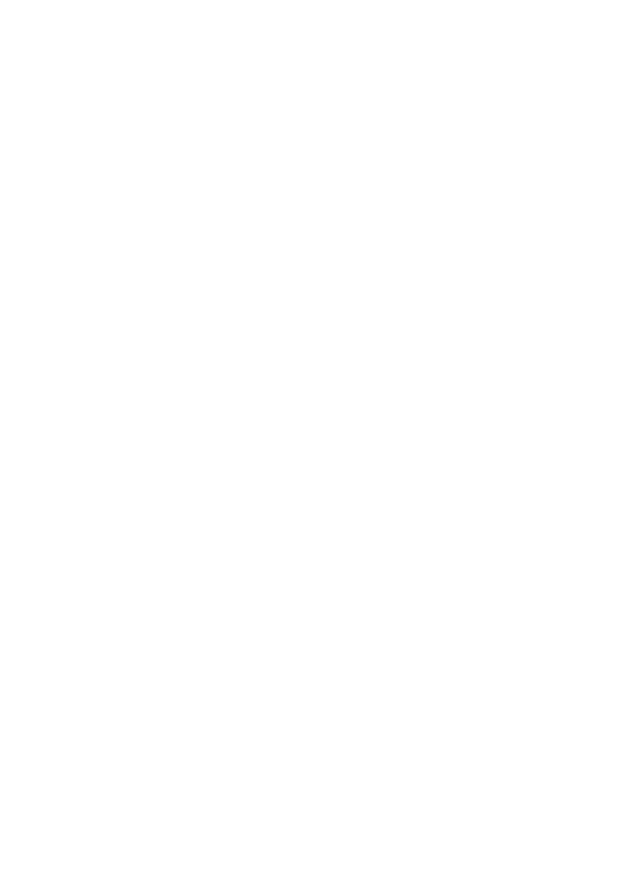| ---- |  |
|------|--|
|      |  |
|      |  |
|      |  |
|      |  |
|      |  |
|      |  |
|      |  |
|      |  |
|      |  |
|      |  |
|      |  |
|      |  |
|      |  |
|      |  |
|      |  |
|      |  |
|      |  |
|      |  |
|      |  |
|      |  |
|      |  |
|      |  |
|      |  |
|      |  |
|      |  |
|      |  |
|      |  |
|      |  |
|      |  |
|      |  |
|      |  |
|      |  |
|      |  |
|      |  |
|      |  |
|      |  |
|      |  |
|      |  |
|      |  |
|      |  |
|      |  |
|      |  |
|      |  |
|      |  |
|      |  |
|      |  |
|      |  |
|      |  |
|      |  |
|      |  |
|      |  |
|      |  |
|      |  |
|      |  |
|      |  |
|      |  |
|      |  |
|      |  |

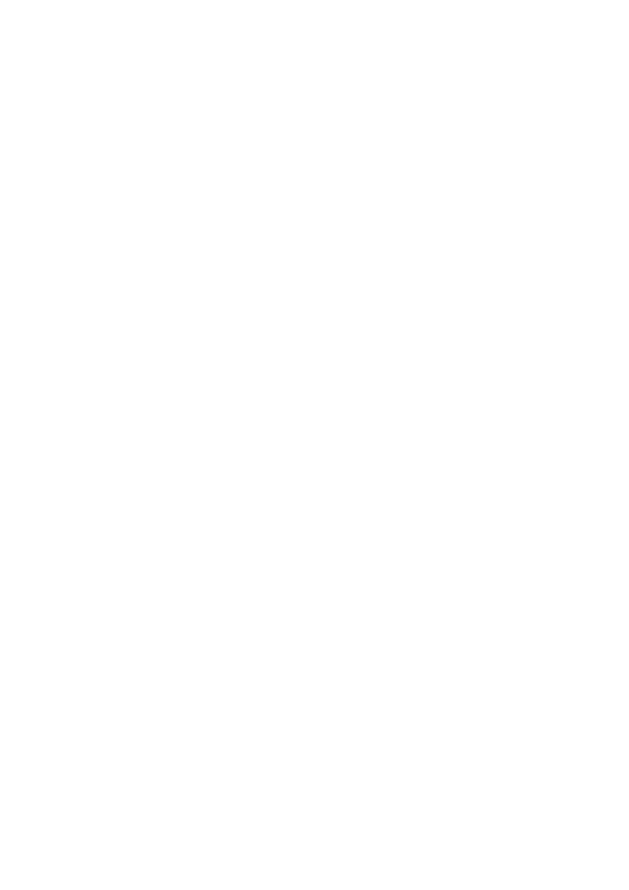| ---- |  |
|------|--|
|      |  |
|      |  |
|      |  |
|      |  |
|      |  |
|      |  |
|      |  |
|      |  |
|      |  |
|      |  |
|      |  |
|      |  |
|      |  |
|      |  |
|      |  |
|      |  |
|      |  |
|      |  |
|      |  |
|      |  |
|      |  |
|      |  |
|      |  |
|      |  |
|      |  |
|      |  |
|      |  |
|      |  |
|      |  |
|      |  |
|      |  |
|      |  |
|      |  |
|      |  |
|      |  |
|      |  |
|      |  |
|      |  |
|      |  |
|      |  |
|      |  |
|      |  |
|      |  |
|      |  |
|      |  |
|      |  |
|      |  |
|      |  |
|      |  |
|      |  |
|      |  |
|      |  |
|      |  |
|      |  |
|      |  |
|      |  |
|      |  |
|      |  |

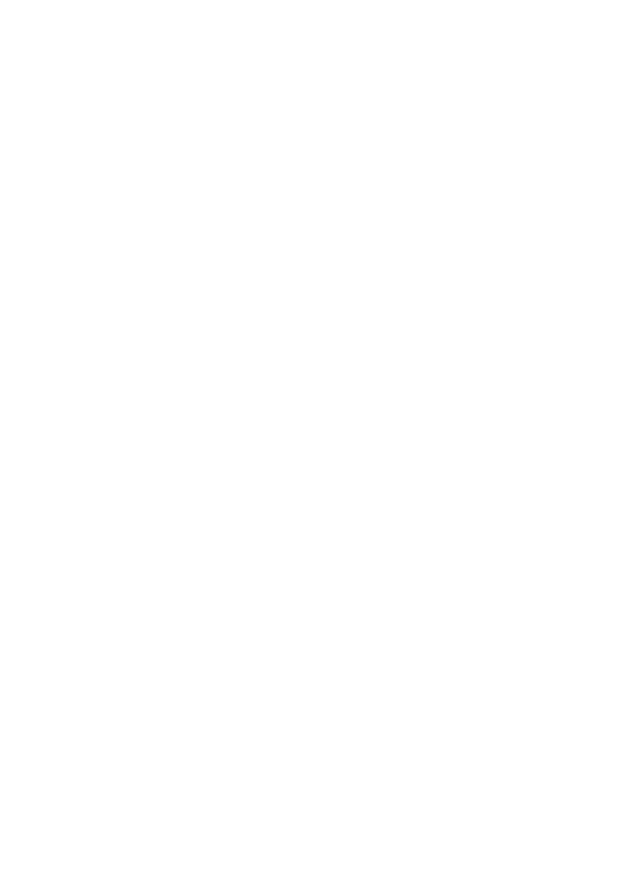| ---- |  |
|------|--|
|      |  |
|      |  |
|      |  |
|      |  |
|      |  |
|      |  |
|      |  |
|      |  |
|      |  |
|      |  |
|      |  |
|      |  |
|      |  |
|      |  |
|      |  |
|      |  |
|      |  |
|      |  |
|      |  |
|      |  |
|      |  |
|      |  |
|      |  |
|      |  |
|      |  |
|      |  |
|      |  |
|      |  |
|      |  |
|      |  |
|      |  |
|      |  |
|      |  |
|      |  |
|      |  |
|      |  |
|      |  |
|      |  |
|      |  |
|      |  |
|      |  |
|      |  |
|      |  |
|      |  |
|      |  |
|      |  |
|      |  |
|      |  |
|      |  |
|      |  |
|      |  |
|      |  |
|      |  |
|      |  |
|      |  |
|      |  |
|      |  |
|      |  |

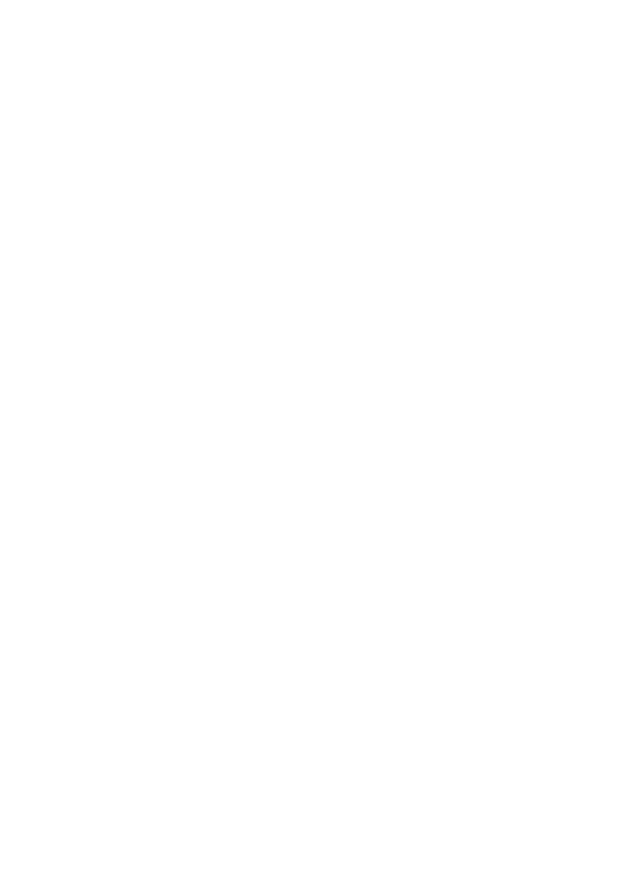| ---- |  |
|------|--|
|      |  |
|      |  |
|      |  |
|      |  |
|      |  |
|      |  |
|      |  |
|      |  |
|      |  |
|      |  |
|      |  |
|      |  |
|      |  |
|      |  |
|      |  |
|      |  |
|      |  |
|      |  |
|      |  |
|      |  |
|      |  |
|      |  |
|      |  |
|      |  |
|      |  |
|      |  |
|      |  |
|      |  |
|      |  |
|      |  |
|      |  |
|      |  |
|      |  |
|      |  |
|      |  |
|      |  |
|      |  |
|      |  |
|      |  |
|      |  |
|      |  |
|      |  |
|      |  |
|      |  |
|      |  |
|      |  |
|      |  |
|      |  |
|      |  |
|      |  |
|      |  |
|      |  |
|      |  |
|      |  |
|      |  |
|      |  |
|      |  |
|      |  |

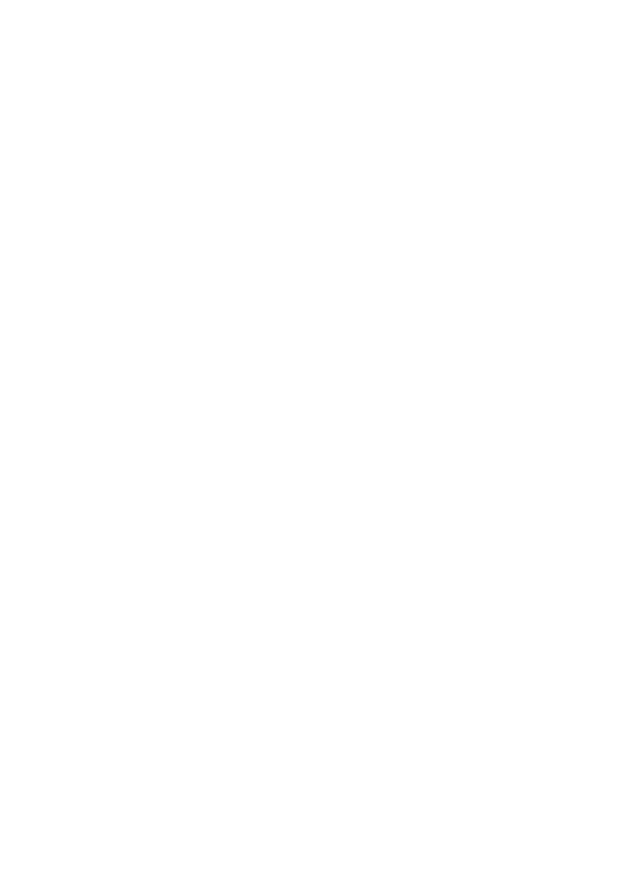| ---- |  |
|------|--|
|      |  |
|      |  |
|      |  |
|      |  |
|      |  |
|      |  |
|      |  |
|      |  |
|      |  |
|      |  |
|      |  |
|      |  |
|      |  |
|      |  |
|      |  |
|      |  |
|      |  |
|      |  |
|      |  |
|      |  |
|      |  |
|      |  |
|      |  |
|      |  |
|      |  |
|      |  |
|      |  |
|      |  |
|      |  |
|      |  |
|      |  |
|      |  |
|      |  |
|      |  |
|      |  |
|      |  |
|      |  |
|      |  |
|      |  |
|      |  |
|      |  |
|      |  |
|      |  |
|      |  |
|      |  |
|      |  |
|      |  |
|      |  |
|      |  |
|      |  |
|      |  |
|      |  |
|      |  |
|      |  |
|      |  |
|      |  |
|      |  |
|      |  |

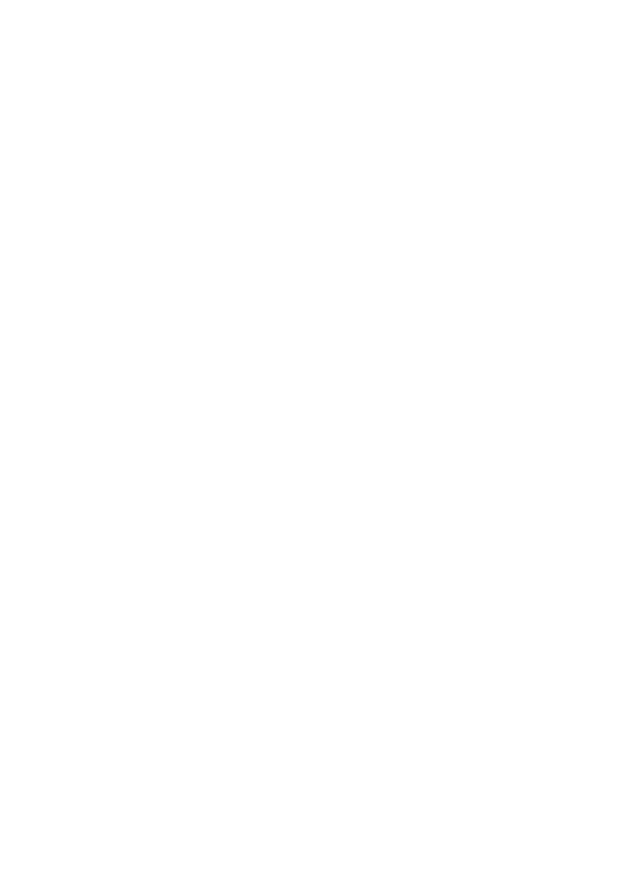| ---- |  |
|------|--|
|      |  |
|      |  |
|      |  |
|      |  |
|      |  |
|      |  |
|      |  |
|      |  |
|      |  |
|      |  |
|      |  |
|      |  |
|      |  |
|      |  |
|      |  |
|      |  |
|      |  |
|      |  |
|      |  |
|      |  |
|      |  |
|      |  |
|      |  |
|      |  |
|      |  |
|      |  |
|      |  |
|      |  |
|      |  |
|      |  |
|      |  |
|      |  |
|      |  |
|      |  |
|      |  |
|      |  |
|      |  |
|      |  |
|      |  |
|      |  |
|      |  |
|      |  |
|      |  |
|      |  |
|      |  |
|      |  |
|      |  |
|      |  |
|      |  |
|      |  |
|      |  |
|      |  |
|      |  |
|      |  |
|      |  |
|      |  |
|      |  |
|      |  |

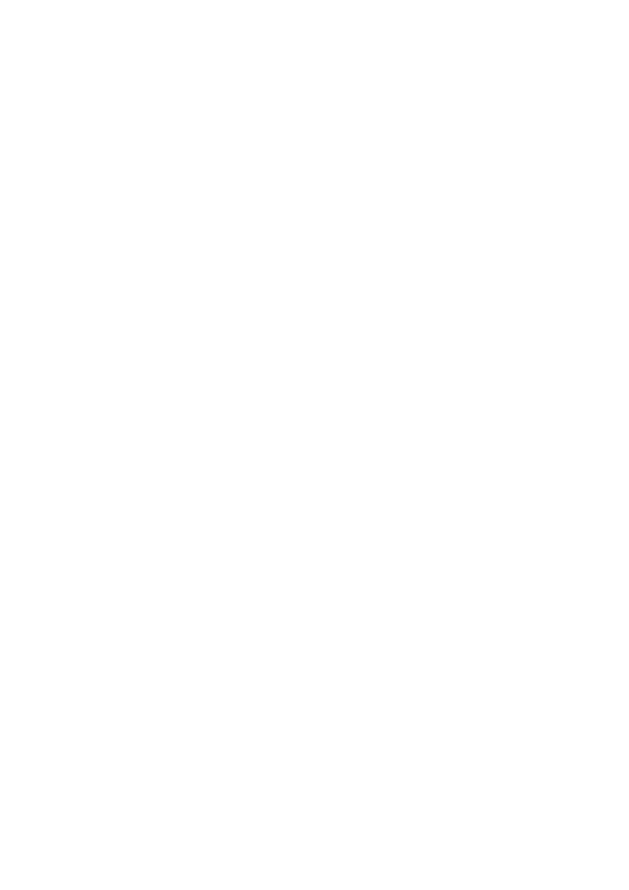| ---- |  |
|------|--|
|      |  |
|      |  |
|      |  |
|      |  |
|      |  |
|      |  |
|      |  |
|      |  |
|      |  |
|      |  |
|      |  |
|      |  |
|      |  |
|      |  |
|      |  |
|      |  |
|      |  |
|      |  |
|      |  |
|      |  |
|      |  |
|      |  |
|      |  |
|      |  |
|      |  |
|      |  |
|      |  |
|      |  |
|      |  |
|      |  |
|      |  |
|      |  |
|      |  |
|      |  |
|      |  |
|      |  |
|      |  |
|      |  |
|      |  |
|      |  |
|      |  |
|      |  |
|      |  |
|      |  |
|      |  |
|      |  |
|      |  |
|      |  |
|      |  |
|      |  |
|      |  |
|      |  |
|      |  |
|      |  |
|      |  |
|      |  |
|      |  |
|      |  |

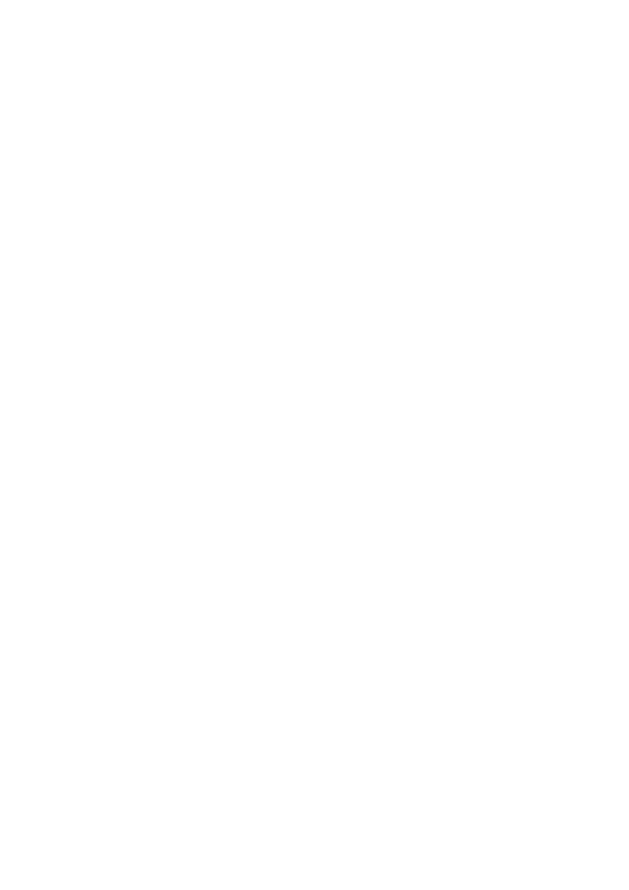| ---- |  |
|------|--|
|      |  |
|      |  |
|      |  |
|      |  |
|      |  |
|      |  |
|      |  |
|      |  |
|      |  |
|      |  |
|      |  |
|      |  |
|      |  |
|      |  |
|      |  |
|      |  |
|      |  |
|      |  |
|      |  |
|      |  |
|      |  |
|      |  |
|      |  |
|      |  |
|      |  |
|      |  |
|      |  |
|      |  |
|      |  |
|      |  |
|      |  |
|      |  |
|      |  |
|      |  |
|      |  |
|      |  |
|      |  |
|      |  |
|      |  |
|      |  |
|      |  |
|      |  |
|      |  |
|      |  |
|      |  |
|      |  |
|      |  |
|      |  |
|      |  |
|      |  |
|      |  |
|      |  |
|      |  |
|      |  |
|      |  |
|      |  |
|      |  |
|      |  |

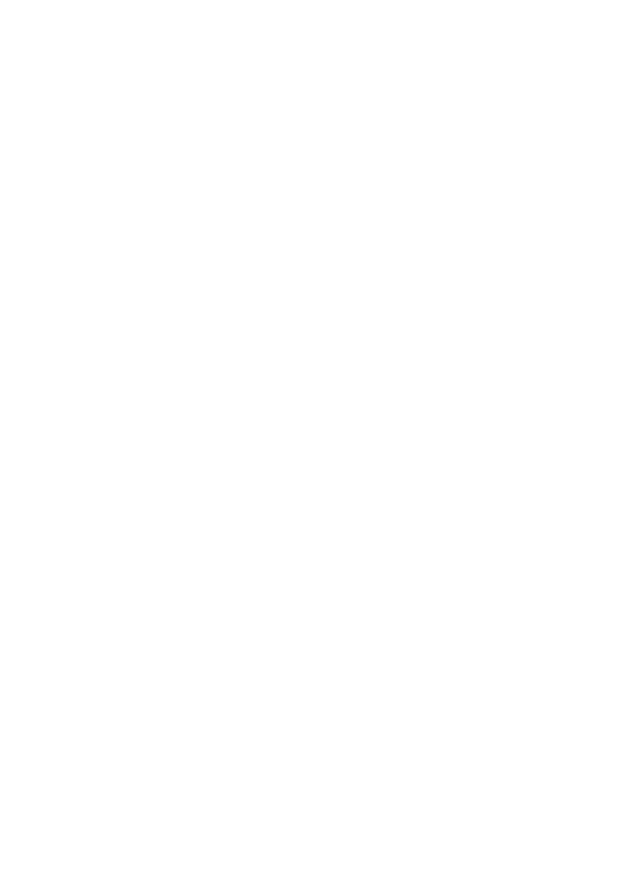| ---- |  |
|------|--|
|      |  |
|      |  |
|      |  |
|      |  |
|      |  |
|      |  |
|      |  |
|      |  |
|      |  |
|      |  |
|      |  |
|      |  |
|      |  |
|      |  |
|      |  |
|      |  |
|      |  |
|      |  |
|      |  |
|      |  |
|      |  |
|      |  |
|      |  |
|      |  |
|      |  |
|      |  |
|      |  |
|      |  |
|      |  |
|      |  |
|      |  |
|      |  |
|      |  |
|      |  |
|      |  |
|      |  |
|      |  |
|      |  |
|      |  |
|      |  |
|      |  |
|      |  |
|      |  |
|      |  |
|      |  |
|      |  |
|      |  |
|      |  |
|      |  |
|      |  |
|      |  |
|      |  |
|      |  |
|      |  |
|      |  |
|      |  |
|      |  |
|      |  |